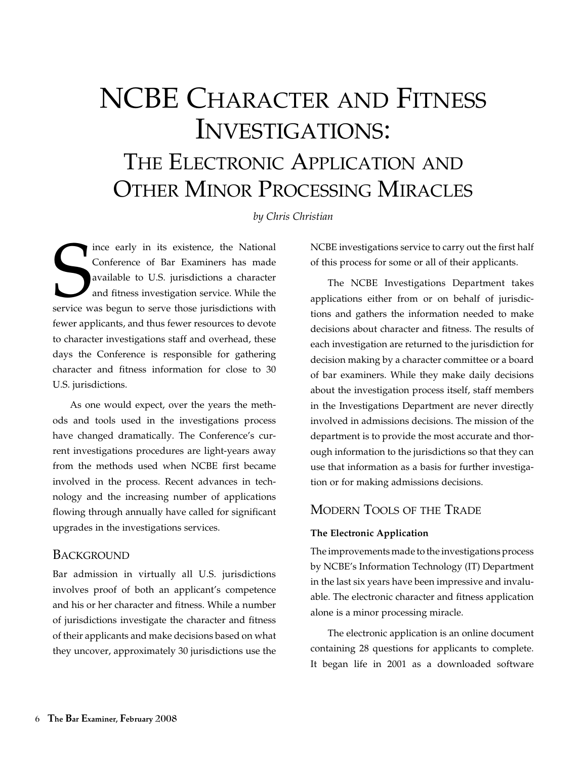# NCBE Character and Fitness Investigations: THE ELECTRONIC APPLICATION AND Other Minor Processing Miracles

*by Chris Christian*

ince early in its existence, the National<br>Conference of Bar Examiners has made<br>available to U.S. jurisdictions a character<br>and fitness investigation service. While the<br>service was begun to serve those jurisdictions with ince early in its existence, the National Conference of Bar Examiners has made available to U.S. jurisdictions a character and fitness investigation service. While the fewer applicants, and thus fewer resources to devote to character investigations staff and overhead, these days the Conference is responsible for gathering character and fitness information for close to 30 U.S. jurisdictions.

As one would expect, over the years the methods and tools used in the investigations process have changed dramatically. The Conference's current investigations procedures are light-years away from the methods used when NCBE first became involved in the process. Recent advances in technology and the increasing number of applications flowing through annually have called for significant upgrades in the investigations services.

# **BACKGROUND**

Bar admission in virtually all U.S. jurisdictions involves proof of both an applicant's competence and his or her character and fitness. While a number of jurisdictions investigate the character and fitness of their applicants and make decisions based on what they uncover, approximately 30 jurisdictions use the NCBE investigations service to carry out the first half of this process for some or all of their applicants.

The NCBE Investigations Department takes applications either from or on behalf of jurisdictions and gathers the information needed to make decisions about character and fitness. The results of each investigation are returned to the jurisdiction for decision making by a character committee or a board of bar examiners. While they make daily decisions about the investigation process itself, staff members in the Investigations Department are never directly involved in admissions decisions. The mission of the department is to provide the most accurate and thorough information to the jurisdictions so that they can use that information as a basis for further investigation or for making admissions decisions.

# MODERN TOOLS OF THE TRADE

## **The Electronic Application**

The improvements made to the investigations process by NCBE's Information Technology (IT) Department in the last six years have been impressive and invaluable. The electronic character and fitness application alone is a minor processing miracle.

The electronic application is an online document containing 28 questions for applicants to complete. It began life in 2001 as a downloaded software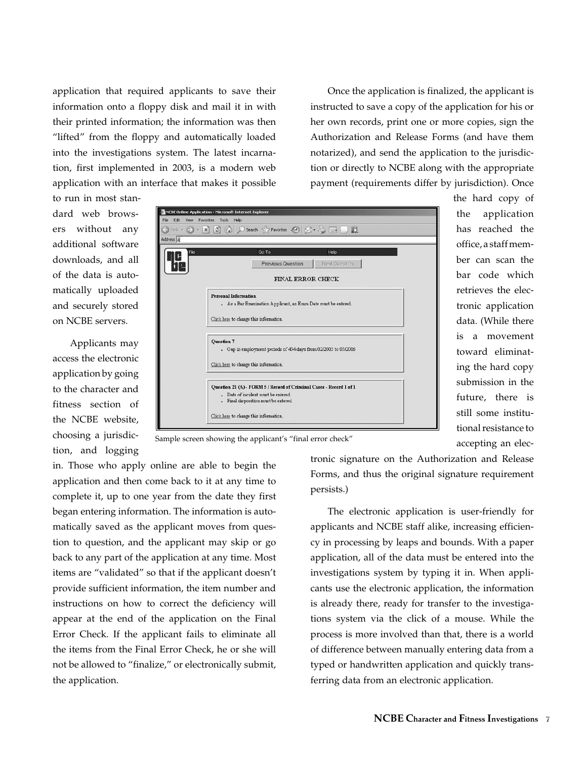application that required applicants to save their information onto a floppy disk and mail it in with their printed information; the information was then "lifted" from the floppy and automatically loaded into the investigations system. The latest incarnation, first implemented in 2003, is a modern web application with an interface that makes it possible

Once the application is finalized, the applicant is instructed to save a copy of the application for his or her own records, print one or more copies, sign the Authorization and Release Forms (and have them notarized), and send the application to the jurisdiction or directly to NCBE along with the appropriate payment (requirements differ by jurisdiction). Once

to run in most standard web browsers without any additional software downloads, and all of the data is automatically uploaded and securely stored on NCBE servers.

Applicants may access the electronic application by going to the character and fitness section of the NCBE website, choosing a jurisdiction, and logging



the hard copy of the application has reached the office, a staff member can scan the bar code which retrieves the electronic application data. (While there is a movement toward eliminating the hard copy submission in the future, there is still some institutional resistance to accepting an elec-



in. Those who apply online are able to begin the application and then come back to it at any time to complete it, up to one year from the date they first began entering information. The information is automatically saved as the applicant moves from question to question, and the applicant may skip or go back to any part of the application at any time. Most items are "validated" so that if the applicant doesn't provide sufficient information, the item number and instructions on how to correct the deficiency will appear at the end of the application on the Final Error Check. If the applicant fails to eliminate all the items from the Final Error Check, he or she will not be allowed to "finalize," or electronically submit, the application.

tronic signature on the Authorization and Release Forms, and thus the original signature requirement persists.)

The electronic application is user-friendly for applicants and NCBE staff alike, increasing efficiency in processing by leaps and bounds. With a paper application, all of the data must be entered into the investigations system by typing it in. When applicants use the electronic application, the information is already there, ready for transfer to the investigations system via the click of a mouse. While the process is more involved than that, there is a world of difference between manually entering data from a typed or handwritten application and quickly transferring data from an electronic application.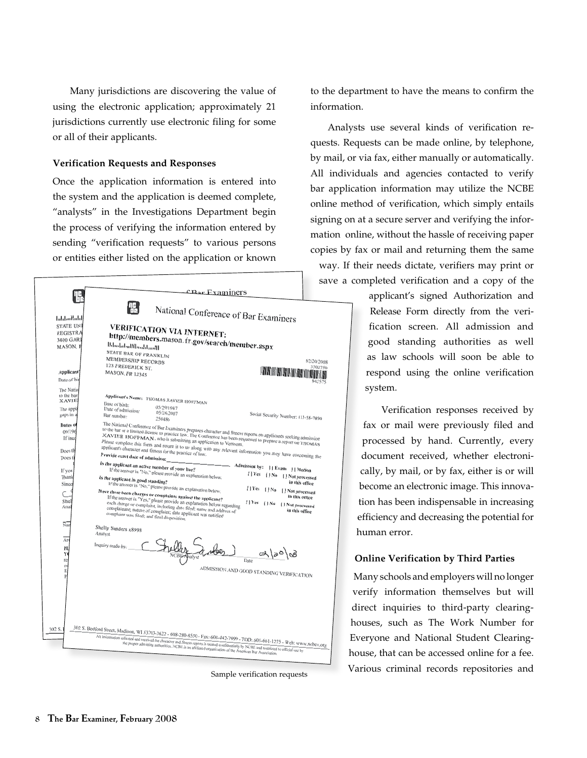Many jurisdictions are discovering the value of using the electronic application; approximately 21 jurisdictions currently use electronic filing for some or all of their applicants.

#### **Verification Requests and Responses**

Once the application information is entered into the system and the application is deemed complete, "analysts" in the Investigations Department begin the process of verifying the information entered by sending "verification requests" to various persons or entities either listed on the application or known



to the department to have the means to confirm the information.

Analysts use several kinds of verification requests. Requests can be made online, by telephone, by mail, or via fax, either manually or automatically. All individuals and agencies contacted to verify bar application information may utilize the NCBE online method of verification, which simply entails signing on at a secure server and verifying the information online, without the hassle of receiving paper copies by fax or mail and returning them the same way. If their needs dictate, verifiers may print or save a completed verification and a copy of the

> applicant's signed Authorization and Release Form directly from the verification screen. All admission and good standing authorities as well as law schools will soon be able to respond using the online verification system.

Verification responses received by fax or mail were previously filed and processed by hand. Currently, every document received, whether electronically, by mail, or by fax, either is or will become an electronic image. This innovation has been indispensable in increasing efficiency and decreasing the potential for human error.

#### **Online Verification by Third Parties**

Many schools and employers will no longer verify information themselves but will direct inquiries to third-party clearinghouses, such as The Work Number for Everyone and National Student Clearinghouse, that can be accessed online for a fee. Various criminal records repositories and Sample verification requests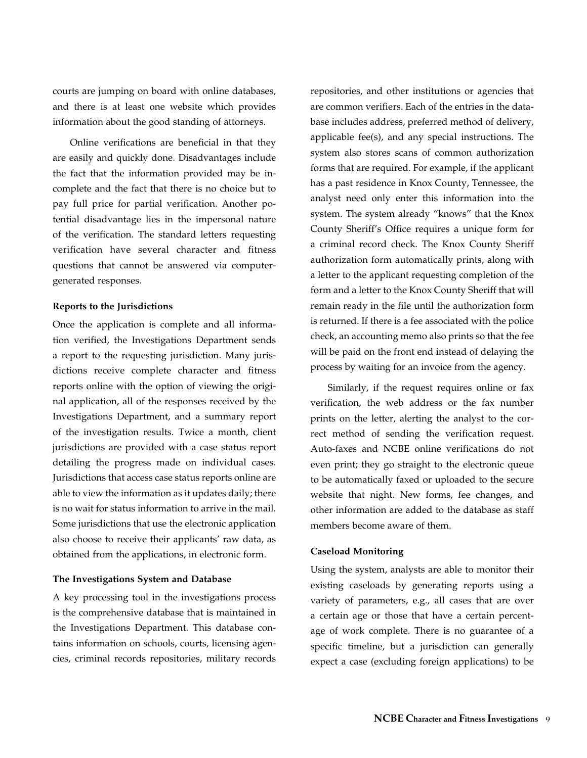courts are jumping on board with online databases, and there is at least one website which provides information about the good standing of attorneys.

Online verifications are beneficial in that they are easily and quickly done. Disadvantages include the fact that the information provided may be incomplete and the fact that there is no choice but to pay full price for partial verification. Another potential disadvantage lies in the impersonal nature of the verification. The standard letters requesting verification have several character and fitness questions that cannot be answered via computergenerated responses.

#### **Reports to the Jurisdictions**

Once the application is complete and all information verified, the Investigations Department sends a report to the requesting jurisdiction. Many jurisdictions receive complete character and fitness reports online with the option of viewing the original application, all of the responses received by the Investigations Department, and a summary report of the investigation results. Twice a month, client jurisdictions are provided with a case status report detailing the progress made on individual cases. Jurisdictions that access case status reports online are able to view the information as it updates daily; there is no wait for status information to arrive in the mail. Some jurisdictions that use the electronic application also choose to receive their applicants' raw data, as obtained from the applications, in electronic form.

#### **The Investigations System and Database**

A key processing tool in the investigations process is the comprehensive database that is maintained in the Investigations Department. This database contains information on schools, courts, licensing agencies, criminal records repositories, military records repositories, and other institutions or agencies that are common verifiers. Each of the entries in the database includes address, preferred method of delivery, applicable fee(s), and any special instructions. The system also stores scans of common authorization forms that are required. For example, if the applicant has a past residence in Knox County, Tennessee, the analyst need only enter this information into the system. The system already "knows" that the Knox County Sheriff's Office requires a unique form for a criminal record check. The Knox County Sheriff authorization form automatically prints, along with a letter to the applicant requesting completion of the form and a letter to the Knox County Sheriff that will remain ready in the file until the authorization form is returned. If there is a fee associated with the police check, an accounting memo also prints so that the fee will be paid on the front end instead of delaying the process by waiting for an invoice from the agency.

Similarly, if the request requires online or fax verification, the web address or the fax number prints on the letter, alerting the analyst to the correct method of sending the verification request. Auto-faxes and NCBE online verifications do not even print; they go straight to the electronic queue to be automatically faxed or uploaded to the secure website that night. New forms, fee changes, and other information are added to the database as staff members become aware of them.

## **Caseload Monitoring**

Using the system, analysts are able to monitor their existing caseloads by generating reports using a variety of parameters, e.g., all cases that are over a certain age or those that have a certain percentage of work complete. There is no guarantee of a specific timeline, but a jurisdiction can generally expect a case (excluding foreign applications) to be